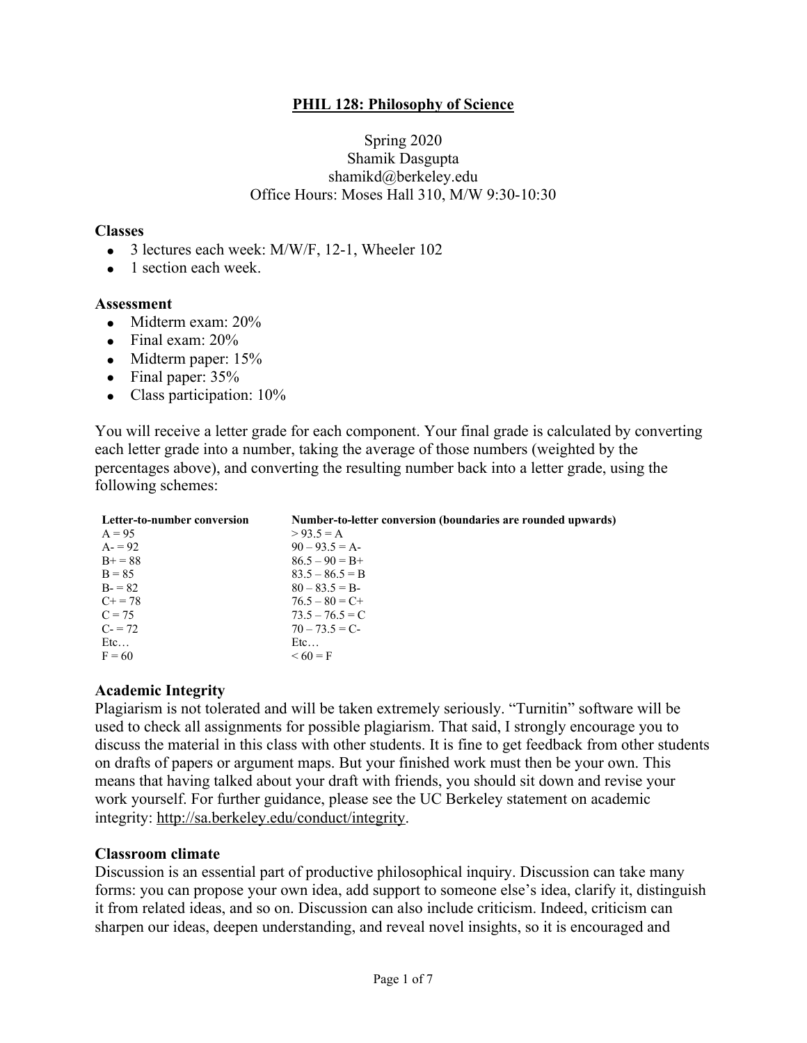### **PHIL 128: Philosophy of Science**

#### Spring 2020 Shamik Dasgupta shamikd@berkeley.edu Office Hours: Moses Hall 310, M/W 9:30-10:30

#### **Classes**

- 3 lectures each week: M/W/F, 12-1, Wheeler 102
- 1 section each week.

#### **Assessment**

- Midterm exam: 20%
- Final exam:  $20\%$
- Midterm paper: 15%
- Final paper:  $35%$
- Class participation:  $10\%$

You will receive a letter grade for each component. Your final grade is calculated by converting each letter grade into a number, taking the average of those numbers (weighted by the percentages above), and converting the resulting number back into a letter grade, using the following schemes:

| Letter-to-number conversion | Number-to-letter conversion (boundaries are rounded upwards) |
|-----------------------------|--------------------------------------------------------------|
| $A = 95$                    | $> 93.5 = A$                                                 |
| $A = 92$                    | $90 - 93.5 = A$                                              |
| $B_{+} = 88$                | $86.5 - 90 = B +$                                            |
| $B = 85$                    | $83.5 - 86.5 = B$                                            |
| $B = 82$                    | $80 - 83.5 = B$                                              |
| $C_{+} = 78$                | $76.5 - 80 = C +$                                            |
| $C = 75$                    | $73.5 - 76.5 = C$                                            |
| $C = 72$                    | $70 - 73.5 = C$                                              |
| Etc                         | Etc                                                          |
| $F = 60$                    | $\leq 60 = F$                                                |

# **Academic Integrity**

Plagiarism is not tolerated and will be taken extremely seriously. "Turnitin" software will be used to check all assignments for possible plagiarism. That said, I strongly encourage you to discuss the material in this class with other students. It is fine to get feedback from other students on drafts of papers or argument maps. But your finished work must then be your own. This means that having talked about your draft with friends, you should sit down and revise your work yourself. For further guidance, please see the UC Berkeley statement on academic integrity: http://sa.berkeley.edu/conduct/integrity.

### **Classroom climate**

Discussion is an essential part of productive philosophical inquiry. Discussion can take many forms: you can propose your own idea, add support to someone else's idea, clarify it, distinguish it from related ideas, and so on. Discussion can also include criticism. Indeed, criticism can sharpen our ideas, deepen understanding, and reveal novel insights, so it is encouraged and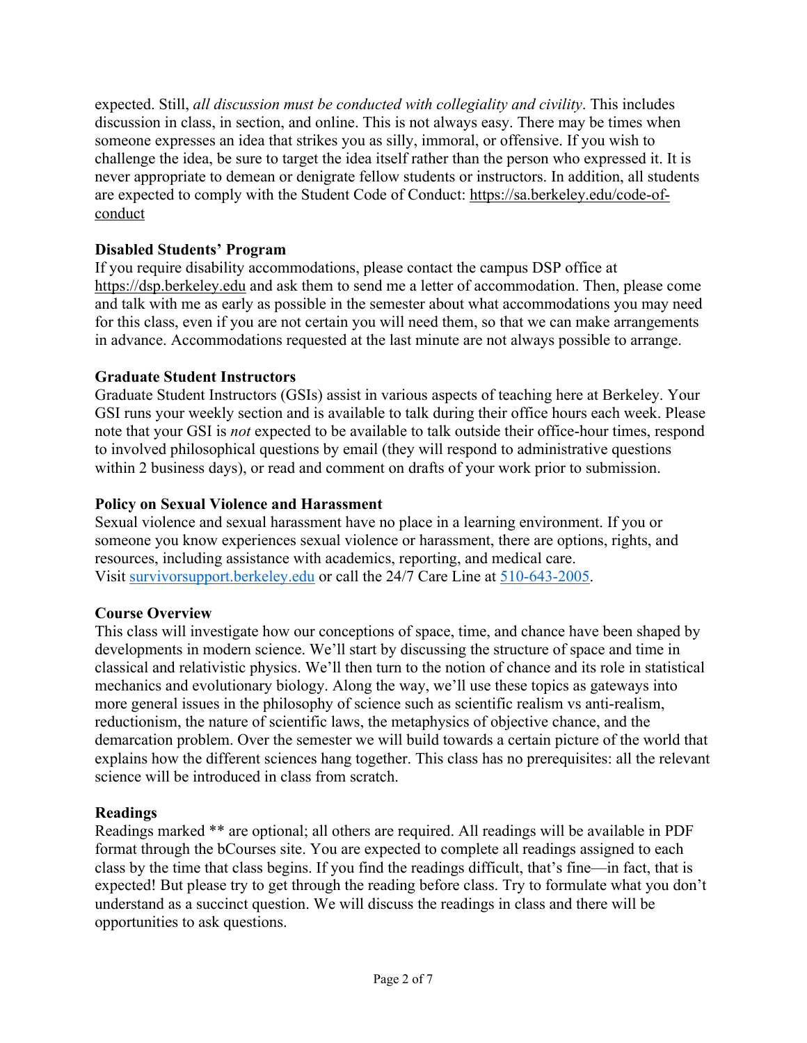expected. Still, *all discussion must be conducted with collegiality and civility*. This includes discussion in class, in section, and online. This is not always easy. There may be times when someone expresses an idea that strikes you as silly, immoral, or offensive. If you wish to challenge the idea, be sure to target the idea itself rather than the person who expressed it. It is never appropriate to demean or denigrate fellow students or instructors. In addition, all students are expected to comply with the Student Code of Conduct: https://sa.berkeley.edu/code-ofconduct

### **Disabled Students' Program**

If you require disability accommodations, please contact the campus DSP office at https://dsp.berkeley.edu and ask them to send me a letter of accommodation. Then, please come and talk with me as early as possible in the semester about what accommodations you may need for this class, even if you are not certain you will need them, so that we can make arrangements in advance. Accommodations requested at the last minute are not always possible to arrange.

### **Graduate Student Instructors**

Graduate Student Instructors (GSIs) assist in various aspects of teaching here at Berkeley. Your GSI runs your weekly section and is available to talk during their office hours each week. Please note that your GSI is *not* expected to be available to talk outside their office-hour times, respond to involved philosophical questions by email (they will respond to administrative questions within 2 business days), or read and comment on drafts of your work prior to submission.

### **Policy on Sexual Violence and Harassment**

Sexual violence and sexual harassment have no place in a learning environment. If you or someone you know experiences sexual violence or harassment, there are options, rights, and resources, including assistance with academics, reporting, and medical care. Visit survivorsupport.berkeley.edu or call the 24/7 Care Line at 510-643-2005.

# **Course Overview**

This class will investigate how our conceptions of space, time, and chance have been shaped by developments in modern science. We'll start by discussing the structure of space and time in classical and relativistic physics. We'll then turn to the notion of chance and its role in statistical mechanics and evolutionary biology. Along the way, we'll use these topics as gateways into more general issues in the philosophy of science such as scientific realism vs anti-realism, reductionism, the nature of scientific laws, the metaphysics of objective chance, and the demarcation problem. Over the semester we will build towards a certain picture of the world that explains how the different sciences hang together. This class has no prerequisites: all the relevant science will be introduced in class from scratch.

### **Readings**

Readings marked \*\* are optional; all others are required. All readings will be available in PDF format through the bCourses site. You are expected to complete all readings assigned to each class by the time that class begins. If you find the readings difficult, that's fine—in fact, that is expected! But please try to get through the reading before class. Try to formulate what you don't understand as a succinct question. We will discuss the readings in class and there will be opportunities to ask questions.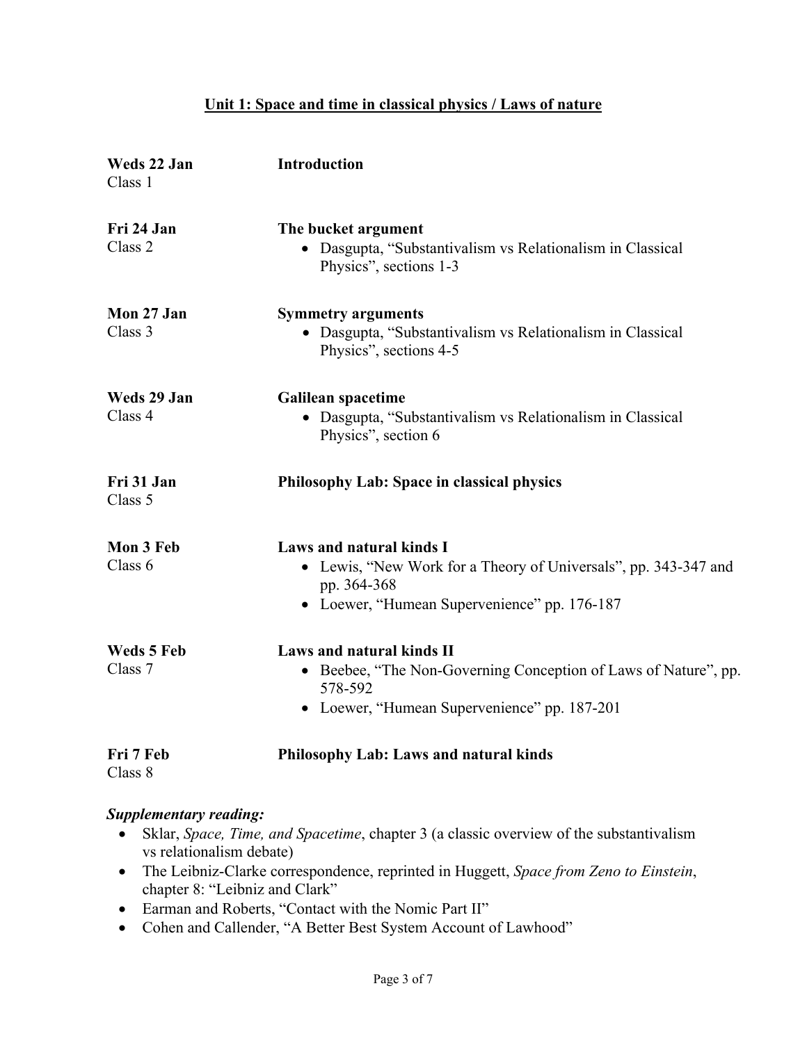### **Unit 1: Space and time in classical physics / Laws of nature**

| Weds 22 Jan<br>Class 1       | <b>Introduction</b>                                                                                                                                        |
|------------------------------|------------------------------------------------------------------------------------------------------------------------------------------------------------|
| Fri 24 Jan<br>Class 2        | The bucket argument<br>Dasgupta, "Substantivalism vs Relationalism in Classical<br>Physics", sections 1-3                                                  |
| Mon 27 Jan<br>Class 3        | <b>Symmetry arguments</b><br>• Dasgupta, "Substantivalism vs Relationalism in Classical<br>Physics", sections 4-5                                          |
| Weds 29 Jan<br>Class 4       | <b>Galilean spacetime</b><br>• Dasgupta, "Substantivalism vs Relationalism in Classical<br>Physics", section 6                                             |
| Fri 31 Jan<br>Class 5        | <b>Philosophy Lab: Space in classical physics</b>                                                                                                          |
| Mon 3 Feb<br>Class 6         | Laws and natural kinds I<br>• Lewis, "New Work for a Theory of Universals", pp. 343-347 and<br>pp. 364-368<br>• Loewer, "Humean Supervenience" pp. 176-187 |
| <b>Weds 5 Feb</b><br>Class 7 | Laws and natural kinds II<br>• Beebee, "The Non-Governing Conception of Laws of Nature", pp.<br>578-592<br>• Loewer, "Humean Supervenience" pp. 187-201    |
| Fri 7 Feb<br>Class 8         | <b>Philosophy Lab: Laws and natural kinds</b>                                                                                                              |

- Sklar, *Space, Time, and Spacetime*, chapter 3 (a classic overview of the substantivalism vs relationalism debate)
- The Leibniz-Clarke correspondence, reprinted in Huggett, *Space from Zeno to Einstein*, chapter 8: "Leibniz and Clark"
- Earman and Roberts, "Contact with the Nomic Part II"
- Cohen and Callender, "A Better Best System Account of Lawhood"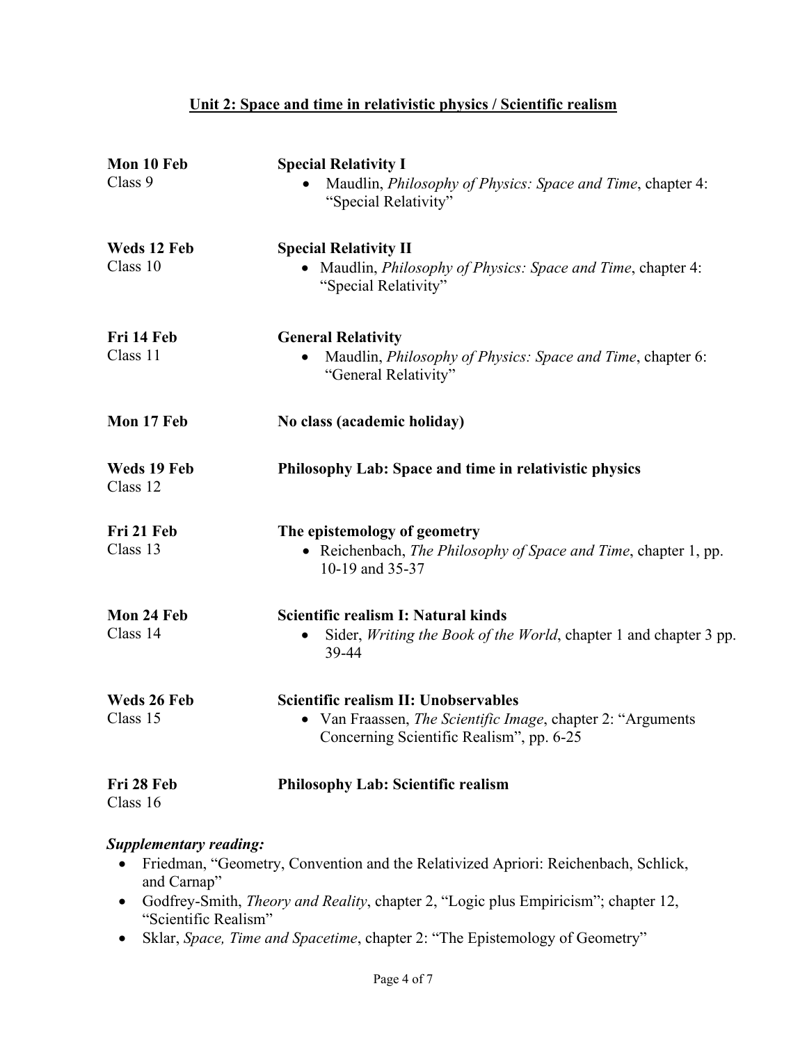# **Unit 2: Space and time in relativistic physics / Scientific realism**

| Mon 10 Feb<br>Class 9   | <b>Special Relativity I</b><br>Maudlin, Philosophy of Physics: Space and Time, chapter 4:<br>"Special Relativity"                                |
|-------------------------|--------------------------------------------------------------------------------------------------------------------------------------------------|
| Weds 12 Feb<br>Class 10 | <b>Special Relativity II</b><br>• Maudlin, <i>Philosophy of Physics: Space and Time</i> , chapter 4:<br>"Special Relativity"                     |
| Fri 14 Feb<br>Class 11  | <b>General Relativity</b><br>Maudlin, <i>Philosophy of Physics: Space and Time</i> , chapter 6:<br>"General Relativity"                          |
| Mon 17 Feb              | No class (academic holiday)                                                                                                                      |
| Weds 19 Feb<br>Class 12 | Philosophy Lab: Space and time in relativistic physics                                                                                           |
| Fri 21 Feb<br>Class 13  | The epistemology of geometry<br>• Reichenbach, The Philosophy of Space and Time, chapter 1, pp.<br>10-19 and 35-37                               |
| Mon 24 Feb<br>Class 14  | Scientific realism I: Natural kinds<br>Sider, Writing the Book of the World, chapter 1 and chapter 3 pp.<br>39-44                                |
| Weds 26 Feb<br>Class 15 | Scientific realism II: Unobservables<br>• Van Fraassen, The Scientific Image, chapter 2: "Arguments"<br>Concerning Scientific Realism", pp. 6-25 |
| Fri 28 Feb<br>Class 16  | <b>Philosophy Lab: Scientific realism</b>                                                                                                        |

- Friedman, "Geometry, Convention and the Relativized Apriori: Reichenbach, Schlick, and Carnap"
- Godfrey-Smith, *Theory and Reality*, chapter 2, "Logic plus Empiricism"; chapter 12, "Scientific Realism"
- Sklar, *Space, Time and Spacetime*, chapter 2: "The Epistemology of Geometry"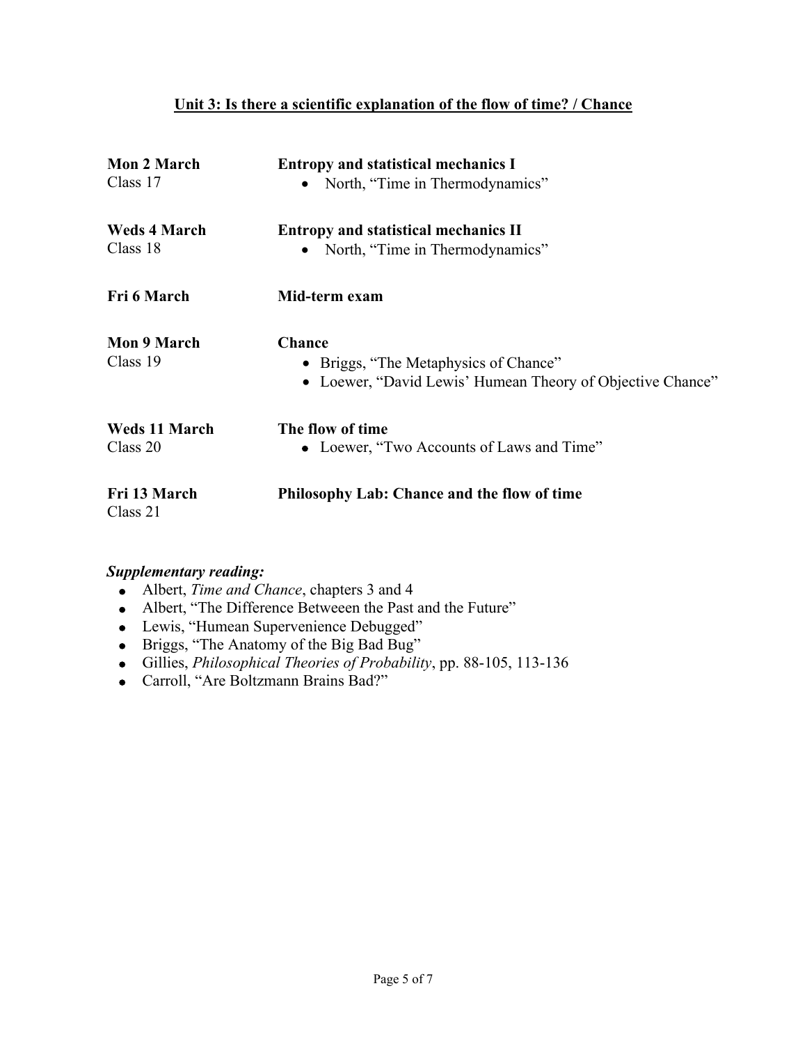# **Unit 3: Is there a scientific explanation of the flow of time? / Chance**

| <b>Mon 2 March</b>               | <b>Entropy and statistical mechanics I</b>                                                          |
|----------------------------------|-----------------------------------------------------------------------------------------------------|
| Class 17                         | North, "Time in Thermodynamics"                                                                     |
| <b>Weds 4 March</b><br>Class 18  | <b>Entropy and statistical mechanics II</b>                                                         |
|                                  | North, "Time in Thermodynamics"                                                                     |
| Fri 6 March                      | Mid-term exam                                                                                       |
| <b>Mon 9 March</b>               | <b>Chance</b>                                                                                       |
| Class 19                         | • Briggs, "The Metaphysics of Chance"<br>• Loewer, "David Lewis' Humean Theory of Objective Chance" |
| <b>Weds 11 March</b><br>Class 20 | The flow of time<br>• Loewer, "Two Accounts of Laws and Time"                                       |
|                                  |                                                                                                     |
| Fri 13 March<br>Class 21         | <b>Philosophy Lab: Chance and the flow of time</b>                                                  |

- Albert, *Time and Chance*, chapters 3 and 4
- Albert, "The Difference Betweeen the Past and the Future"
- Lewis, "Humean Supervenience Debugged"
- Briggs, "The Anatomy of the Big Bad Bug"
- Gillies, *Philosophical Theories of Probability*, pp. 88-105, 113-136
- Carroll, "Are Boltzmann Brains Bad?"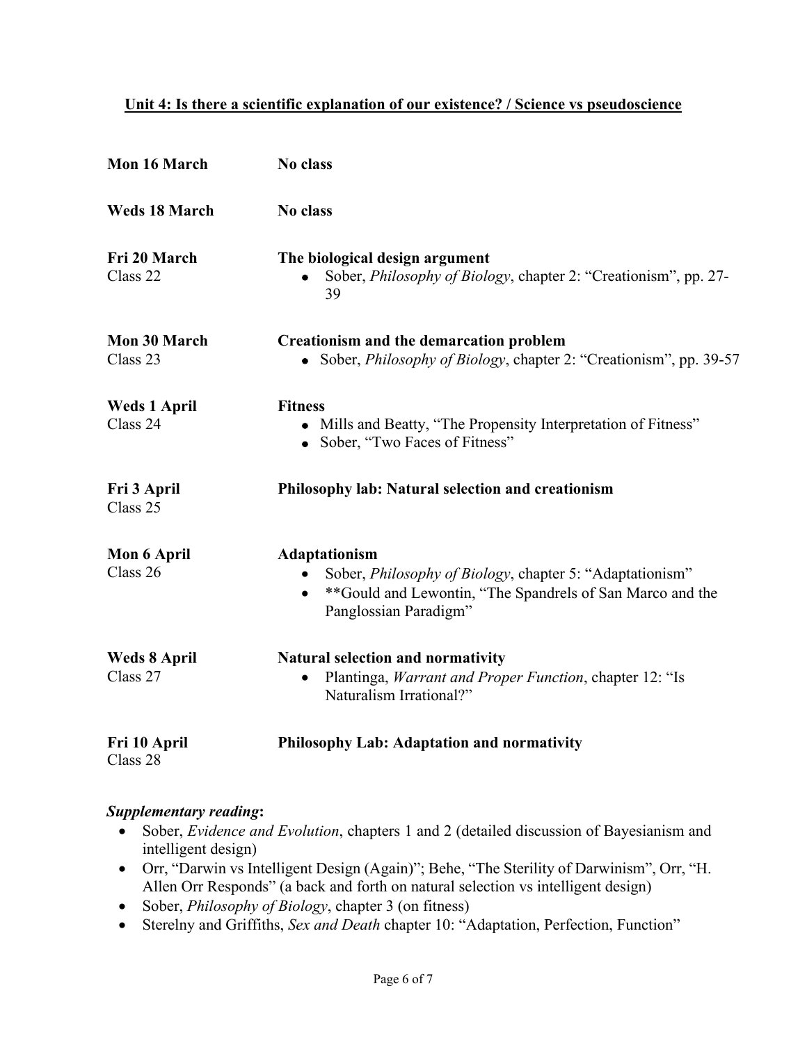### **Unit 4: Is there a scientific explanation of our existence? / Science vs pseudoscience**

| Mon 16 March                    | No class                                                                                                                                                                     |
|---------------------------------|------------------------------------------------------------------------------------------------------------------------------------------------------------------------------|
| <b>Weds 18 March</b>            | No class                                                                                                                                                                     |
| Fri 20 March<br>Class 22        | The biological design argument<br>Sober, Philosophy of Biology, chapter 2: "Creationism", pp. 27-<br>39                                                                      |
| Mon 30 March<br>Class 23        | <b>Creationism and the demarcation problem</b><br>• Sober, <i>Philosophy of Biology</i> , chapter 2: "Creationism", pp. 39-57                                                |
| <b>Weds 1 April</b><br>Class 24 | <b>Fitness</b><br>Mills and Beatty, "The Propensity Interpretation of Fitness"<br>• Sober, "Two Faces of Fitness"                                                            |
| Fri 3 April<br>Class 25         | Philosophy lab: Natural selection and creationism                                                                                                                            |
| Mon 6 April<br>Class 26         | Adaptationism<br>Sober, Philosophy of Biology, chapter 5: "Adaptationism"<br>**Gould and Lewontin, "The Spandrels of San Marco and the<br>$\bullet$<br>Panglossian Paradigm" |
| <b>Weds 8 April</b><br>Class 27 | <b>Natural selection and normativity</b><br>Plantinga, <i>Warrant and Proper Function</i> , chapter 12: "Is<br>Naturalism Irrational?"                                       |
| Fri 10 April<br>Class 28        | Philosophy Lab: Adaptation and normativity                                                                                                                                   |

- Sober, *Evidence and Evolution*, chapters 1 and 2 (detailed discussion of Bayesianism and intelligent design)
- Orr, "Darwin vs Intelligent Design (Again)"; Behe, "The Sterility of Darwinism", Orr, "H. Allen Orr Responds" (a back and forth on natural selection vs intelligent design)
- Sober, *Philosophy of Biology*, chapter 3 (on fitness)
- Sterelny and Griffiths, *Sex and Death* chapter 10: "Adaptation, Perfection, Function"